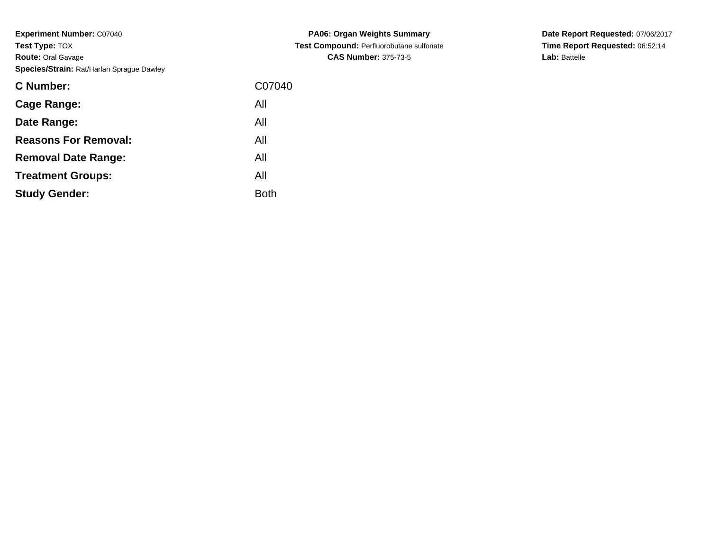**Experiment Number:** C07040**Test Type:** TOX **Route:** Oral Gavage**Species/Strain:** Rat/Harlan Sprague Dawley

| <b>C</b> Number:            | C07040      |
|-----------------------------|-------------|
| Cage Range:                 | All         |
| Date Range:                 | All         |
| <b>Reasons For Removal:</b> | All         |
| <b>Removal Date Range:</b>  | All         |
| <b>Treatment Groups:</b>    | All         |
| <b>Study Gender:</b>        | <b>Both</b> |
|                             |             |

**PA06: Organ Weights Summary Test Compound:** Perfluorobutane sulfonate**CAS Number:** 375-73-5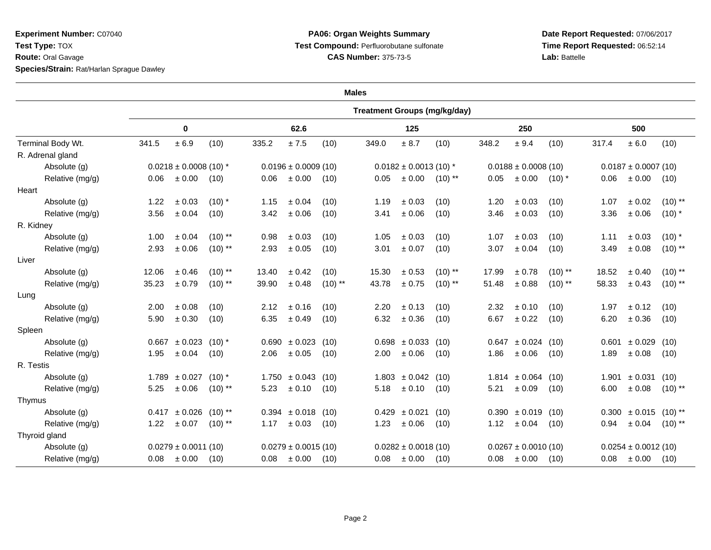**Experiment Number:** C07040**Test Type:** TOX **Route:** Oral Gavage**Species/Strain:** Rat/Harlan Sprague Dawley

## **PA06: Organ Weights Summary Test Compound:** Perfluorobutane sulfonate**CAS Number:** 375-73-5

|                   |                                                                                                           | <b>Treatment Groups (mg/kg/day)</b> |                                          |                                     |                            |                          |                                                                                                                   |                          |           |                                            |            |                                                             |                                                                                               |                          |                                                     |  |  |
|-------------------|-----------------------------------------------------------------------------------------------------------|-------------------------------------|------------------------------------------|-------------------------------------|----------------------------|--------------------------|-------------------------------------------------------------------------------------------------------------------|--------------------------|-----------|--------------------------------------------|------------|-------------------------------------------------------------|-----------------------------------------------------------------------------------------------|--------------------------|-----------------------------------------------------|--|--|
| Terminal Body Wt. | 0                                                                                                         |                                     |                                          | 62.6                                |                            |                          | 125                                                                                                               |                          |           |                                            | 250        |                                                             | 500                                                                                           |                          |                                                     |  |  |
|                   | 341.5                                                                                                     | ± 6.9                               | (10)                                     | 335.2                               | ±7.5                       | (10)                     | 349.0                                                                                                             | ± 8.7                    | (10)      | 348.2                                      | ± 9.4      | (10)                                                        | 317.4                                                                                         | $\pm$ 6.0                | (10)                                                |  |  |
|                   |                                                                                                           |                                     |                                          |                                     |                            |                          |                                                                                                                   |                          |           |                                            |            |                                                             |                                                                                               |                          |                                                     |  |  |
| Absolute (g)      | $0.0218 \pm 0.0008$ (10) *                                                                                |                                     | $0.0196 \pm 0.0009$ (10)                 |                                     | $0.0182 \pm 0.0013$ (10) * |                          |                                                                                                                   |                          |           |                                            |            |                                                             |                                                                                               |                          |                                                     |  |  |
| Relative (mg/g)   | 0.06                                                                                                      |                                     | (10)                                     | 0.06                                |                            |                          | 0.05                                                                                                              | ± 0.00                   | $(10)$ ** | 0.05                                       |            | $(10)^{*}$                                                  | 0.06                                                                                          | ± 0.00                   | (10)                                                |  |  |
|                   |                                                                                                           |                                     |                                          |                                     |                            |                          |                                                                                                                   |                          |           |                                            |            |                                                             |                                                                                               |                          |                                                     |  |  |
| Absolute (g)      | 1.22                                                                                                      | ± 0.03                              | $(10)$ *                                 | 1.15                                | ± 0.04                     | (10)                     | 1.19                                                                                                              | ± 0.03                   | (10)      | 1.20                                       | ± 0.03     | (10)                                                        | 1.07                                                                                          | ± 0.02                   | $(10)$ **                                           |  |  |
| Relative (mg/g)   | 3.56                                                                                                      | ± 0.04                              | (10)                                     | 3.42                                | $\pm$ 0.06                 | (10)                     | 3.41                                                                                                              | $\pm$ 0.06               | (10)      | 3.46                                       | $\pm$ 0.03 | (10)                                                        | 3.36                                                                                          | ± 0.06                   | $(10)^*$                                            |  |  |
|                   |                                                                                                           |                                     |                                          |                                     |                            |                          |                                                                                                                   |                          |           |                                            |            |                                                             |                                                                                               |                          |                                                     |  |  |
| Absolute (g)      | 1.00                                                                                                      | ± 0.04                              | $(10)$ **                                | 0.98                                | $\pm 0.03$                 | (10)                     | 1.05                                                                                                              | ± 0.03                   | (10)      | 1.07                                       | ± 0.03     | (10)                                                        | 1.11                                                                                          | ± 0.03                   | $(10)$ *                                            |  |  |
| Relative (mg/g)   | 2.93                                                                                                      | ± 0.06                              | $(10)$ **                                | 2.93                                | ± 0.05                     | (10)                     | 3.01                                                                                                              | $\pm$ 0.07               | (10)      | 3.07                                       | ± 0.04     | (10)                                                        | 3.49                                                                                          | ± 0.08                   | $(10)$ **                                           |  |  |
|                   |                                                                                                           |                                     |                                          |                                     |                            |                          |                                                                                                                   |                          |           |                                            |            |                                                             |                                                                                               |                          |                                                     |  |  |
| Absolute (g)      | 12.06                                                                                                     | ± 0.46                              | $(10)$ **                                | 13.40                               | ± 0.42                     | (10)                     | 15.30                                                                                                             | $\pm$ 0.53               | $(10)$ ** | 17.99                                      | $\pm$ 0.78 | $(10)$ **                                                   | 18.52                                                                                         | ± 0.40                   | $(10)$ **                                           |  |  |
| Relative (mg/g)   | 35.23                                                                                                     | ± 0.79                              | $(10)$ **                                | 39.90                               | ± 0.48                     | $(10)$ **                | 43.78                                                                                                             | ± 0.75                   | $(10)$ ** | 51.48                                      | ± 0.88     | $(10)$ **                                                   | 58.33                                                                                         | ± 0.43                   | $(10)$ **                                           |  |  |
|                   |                                                                                                           |                                     |                                          |                                     |                            |                          |                                                                                                                   |                          |           |                                            |            |                                                             |                                                                                               |                          |                                                     |  |  |
| Absolute (g)      | 2.00                                                                                                      | ± 0.08                              | (10)                                     | 2.12                                | ± 0.16                     | (10)                     | 2.20                                                                                                              | ± 0.13                   | (10)      | 2.32                                       | ± 0.10     | (10)                                                        | 1.97                                                                                          | ± 0.12                   | (10)                                                |  |  |
| Relative (mg/g)   | 5.90                                                                                                      | ± 0.30                              | (10)                                     | 6.35                                | $\pm 0.49$                 | (10)                     | 6.32                                                                                                              | ± 0.36                   | (10)      | 6.67                                       | $\pm$ 0.22 | (10)                                                        | 6.20                                                                                          | ± 0.36                   | (10)                                                |  |  |
|                   |                                                                                                           |                                     |                                          |                                     |                            |                          |                                                                                                                   |                          |           |                                            |            |                                                             |                                                                                               |                          |                                                     |  |  |
| Absolute (g)      |                                                                                                           | ± 0.023                             | $(10)*$                                  |                                     |                            | (10)                     |                                                                                                                   |                          |           |                                            |            | (10)                                                        |                                                                                               | ± 0.029                  | (10)                                                |  |  |
| Relative (mg/g)   | 1.95                                                                                                      | ± 0.04                              | (10)                                     | 2.06                                | ± 0.05                     | (10)                     | 2.00                                                                                                              | $\pm$ 0.06               | (10)      | 1.86                                       | $\pm$ 0.06 | (10)                                                        | 1.89                                                                                          | $\pm$ 0.08               | (10)                                                |  |  |
|                   |                                                                                                           |                                     |                                          |                                     |                            |                          |                                                                                                                   |                          |           |                                            |            |                                                             |                                                                                               |                          |                                                     |  |  |
| Absolute (g)      |                                                                                                           |                                     | $(10)*$                                  |                                     |                            |                          |                                                                                                                   |                          |           |                                            |            | (10)                                                        |                                                                                               | ± 0.031                  | (10)                                                |  |  |
| Relative (mg/g)   | 5.25                                                                                                      | $\pm$ 0.06                          | $(10)$ **                                | 5.23                                | $\pm 0.10$                 | (10)                     | 5.18                                                                                                              | ± 0.10                   | (10)      | 5.21                                       | ± 0.09     | (10)                                                        | 6.00                                                                                          | $\pm$ 0.08               | $(10)$ **                                           |  |  |
|                   |                                                                                                           |                                     |                                          |                                     |                            |                          |                                                                                                                   |                          |           |                                            |            |                                                             |                                                                                               |                          |                                                     |  |  |
| Absolute (g)      | 0.417                                                                                                     |                                     | $(10)$ **                                |                                     |                            |                          | 0.429                                                                                                             | ± 0.021                  | (10)      |                                            |            | (10)                                                        |                                                                                               | $\pm$ 0.015 (10) **      |                                                     |  |  |
| Relative (mg/g)   | 1.22                                                                                                      | ± 0.07                              | $(10)$ **                                | 1.17                                | $\pm 0.03$                 | (10)                     | 1.23                                                                                                              | $\pm$ 0.06               | (10)      | 1.12                                       |            | (10)                                                        | 0.94                                                                                          | ± 0.04                   | $(10)$ **                                           |  |  |
|                   |                                                                                                           |                                     |                                          |                                     |                            |                          |                                                                                                                   |                          |           |                                            |            |                                                             |                                                                                               |                          |                                                     |  |  |
| Absolute (g)      |                                                                                                           |                                     |                                          |                                     |                            |                          |                                                                                                                   | $0.0282 \pm 0.0018$ (10) |           |                                            |            |                                                             |                                                                                               | $0.0254 \pm 0.0012$ (10) |                                                     |  |  |
| Relative (mg/g)   | 0.08                                                                                                      | $\pm 0.00$                          | (10)                                     | 0.08                                |                            |                          | 0.08                                                                                                              | ± 0.00                   | (10)      | 0.08                                       |            | (10)                                                        | 0.08                                                                                          | ± 0.00                   | (10)                                                |  |  |
|                   | R. Adrenal gland<br>Heart<br>R. Kidney<br>Liver<br>Lung<br>Spleen<br>R. Testis<br>Thymus<br>Thyroid gland |                                     | $\pm 0.00$<br>0.667<br>$1.789 \pm 0.027$ | ± 0.026<br>$0.0279 \pm 0.0011$ (10) |                            | $\pm 0.00$<br>$\pm 0.00$ | (10)<br>$0.690 \pm 0.023$<br>$1.750 \pm 0.043$ (10)<br>$0.394 \pm 0.018$ (10)<br>$0.0279 \pm 0.0015$ (10)<br>(10) | <b>Males</b>             | 0.698     | $\pm 0.033$ (10)<br>$1.803 \pm 0.042$ (10) |            | $\pm 0.00$<br>$0.647 \pm 0.024$<br>$\pm 0.04$<br>$\pm 0.00$ | $0.0188 \pm 0.0008$ (10)<br>$1.814 \pm 0.064$<br>$0.390 \pm 0.019$<br>$0.0267 \pm 0.0010(10)$ |                          | $0.0187 \pm 0.0007$ (10)<br>0.601<br>1.901<br>0.300 |  |  |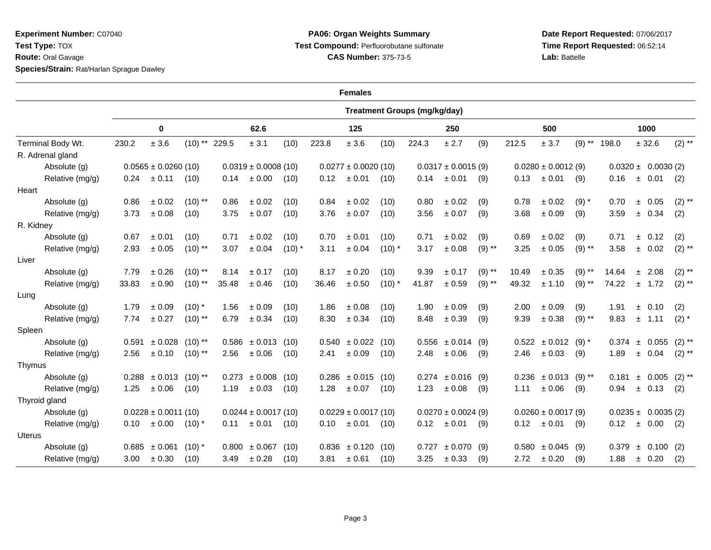**Experiment Number:** C07040**Test Type:** TOX **Route:** Oral Gavage**Species/Strain:** Rat/Harlan Sprague Dawley

## **PA06: Organ Weights Summary Test Compound:** Perfluorobutane sulfonate**CAS Number:** 375-73-5

|                   | <b>Females</b>           |                                      |                          |                         |                          |            |                         |                        |          |                         |                       |          |                        |                                    |                        |                         |  |                       |           |
|-------------------|--------------------------|--------------------------------------|--------------------------|-------------------------|--------------------------|------------|-------------------------|------------------------|----------|-------------------------|-----------------------|----------|------------------------|------------------------------------|------------------------|-------------------------|--|-----------------------|-----------|
|                   |                          | <b>Treatment Groups (mg/kg/day)</b>  |                          |                         |                          |            |                         |                        |          |                         |                       |          |                        |                                    |                        |                         |  |                       |           |
|                   | 0                        |                                      | 62.6                     |                         |                          | 125        |                         |                        | 250      |                         |                       | 500      |                        |                                    | 1000                   |                         |  |                       |           |
| Terminal Body Wt. | 230.2                    | $\pm$ 3.6                            | $(10)$ ** 229.5          |                         | ± 3.1                    | (10)       | 223.8                   | $\pm$ 3.6              | (10)     | 224.3                   | ± 2.7                 | (9)      | 212.5                  | ± 3.7                              | $(9)$ **               | 198.0                   |  | ± 32.6                | $(2)$ **  |
| R. Adrenal gland  |                          |                                      |                          |                         |                          |            |                         |                        |          |                         |                       |          |                        |                                    |                        |                         |  |                       |           |
| Absolute (g)      | $0.0565 \pm 0.0260$ (10) |                                      | $0.0319 \pm 0.0008$ (10) |                         | $0.0277 \pm 0.0020$ (10) |            | $0.0317 \pm 0.0015$ (9) |                        |          | $0.0280 \pm 0.0012$ (9) |                       |          |                        |                                    | $0.0320 \pm 0.0030(2)$ |                         |  |                       |           |
| Relative (mg/g)   | 0.24                     | ± 0.11                               | (10)                     | 0.14                    | ± 0.00                   | (10)       | 0.12                    | ± 0.01                 | (10)     | 0.14                    | ± 0.01                | (9)      | 0.13                   | $\pm 0.01$                         | (9)                    | 0.16                    |  | ± 0.01                | (2)       |
| Heart             |                          |                                      |                          |                         |                          |            |                         |                        |          |                         |                       |          |                        |                                    |                        |                         |  |                       |           |
| Absolute (g)      | 0.86                     | $\pm$ 0.02                           | $(10)$ **                | 0.86                    | ± 0.02                   | (10)       | 0.84                    | ± 0.02                 | (10)     | 0.80                    | ± 0.02                | (9)      | 0.78                   | $\pm 0.02$                         | $(9) *$                | 0.70                    |  | ± 0.05                | $(2)$ **  |
| Relative (mg/g)   | 3.73                     | $\pm$ 0.08                           | (10)                     | 3.75                    | $\pm$ 0.07               | (10)       | 3.76                    | ± 0.07                 | (10)     | 3.56                    | $\pm$ 0.07            | (9)      | 3.68                   | $\pm$ 0.09                         | (9)                    | 3.59                    |  | ± 0.34                | (2)       |
| R. Kidney         |                          |                                      |                          |                         |                          |            |                         |                        |          |                         |                       |          |                        |                                    |                        |                         |  |                       |           |
| Absolute (g)      | 0.67                     | $\pm$ 0.01                           | (10)                     | 0.71                    | ± 0.02                   | (10)       | 0.70                    | ± 0.01                 | (10)     | 0.71                    | ± 0.02                | (9)      | 0.69                   | $\pm 0.02$                         | (9)                    | 0.71                    |  | ± 0.12                | (2)       |
| Relative (mg/g)   | 2.93                     | ± 0.05                               | $(10)$ **                | 3.07                    | ± 0.04                   | $(10)^{*}$ | 3.11                    | ± 0.04                 | $(10)^*$ | 3.17                    | ± 0.08                | $(9)$ ** | 3.25                   | ± 0.05                             | $(9)$ **               | 3.58                    |  | ± 0.02                | $(2)$ **  |
| Liver             |                          |                                      |                          |                         |                          |            |                         |                        |          |                         |                       |          |                        |                                    |                        |                         |  |                       |           |
| Absolute (g)      | 7.79                     | ± 0.26                               | $(10)$ **                | 8.14                    | ± 0.17                   | (10)       | 8.17                    | ± 0.20                 | (10)     | 9.39                    | ± 0.17                | $(9)$ ** | 10.49                  | ± 0.35                             | $(9)$ **               | 14.64                   |  | ± 2.08                | $(2)$ **  |
| Relative (mg/g)   | 33.83                    | ± 0.90                               | $(10)$ **                | 35.48                   | ± 0.46                   | (10)       | 36.46                   | $\pm$ 0.50             | $(10)$ * | 41.87                   | $\pm$ 0.59            | $(9)$ ** | 49.32                  | ± 1.10                             | $(9)$ **               | 74.22                   |  | ± 1.72                | $(2)$ **  |
| Lung              |                          |                                      |                          |                         |                          |            |                         |                        |          |                         |                       |          |                        |                                    |                        |                         |  |                       |           |
| Absolute (g)      | 1.79                     | ± 0.09                               | $(10)^*$                 | 1.56                    | ± 0.09                   | (10)       | 1.86                    | $\pm 0.08$             | (10)     | 1.90                    | ± 0.09                | (9)      | 2.00                   | ± 0.09                             | (9)                    | 1.91                    |  | ± 0.10                | (2)       |
| Relative (mg/g)   | 7.74                     | ± 0.27                               | $(10)$ **                | 6.79                    | ± 0.34                   | (10)       | 8.30                    | ± 0.34                 | (10)     | 8.48                    | ± 0.39                | (9)      | 9.39                   | $\pm$ 0.38                         | $(9)$ **               | 9.83                    |  | ± 1.11                | $(2)$ $*$ |
| Spleen            |                          |                                      |                          |                         |                          |            |                         |                        |          |                         |                       |          |                        |                                    |                        |                         |  |                       |           |
| Absolute (g)      |                          | $0.591 \pm 0.028$ (10) <sup>**</sup> |                          |                         | $0.586 \pm 0.013$ (10)   |            |                         | $0.540 \pm 0.022$ (10) |          |                         | $0.556 \pm 0.014$ (9) |          |                        | $0.522 \pm 0.012$ (9) <sup>*</sup> |                        |                         |  | $0.374 \pm 0.055$     | $(2)$ **  |
| Relative (mg/g)   | 2.56                     | ± 0.10                               | $(10)$ **                | 2.56                    | ± 0.06                   | (10)       | 2.41                    | ± 0.09                 | (10)     | 2.48                    | ± 0.06                | (9)      | 2.46                   | $\pm 0.03$                         | (9)                    | 1.89                    |  | ± 0.04                | $(2)$ **  |
| Thymus            |                          |                                      |                          |                         |                          |            |                         |                        |          |                         |                       |          |                        |                                    |                        |                         |  |                       |           |
| Absolute (g)      |                          | $0.288 \pm 0.013$ (10) <sup>**</sup> |                          |                         | $0.273 \pm 0.008$        | (10)       |                         | $0.286 \pm 0.015$ (10) |          |                         | $0.274 \pm 0.016$     | (9)      |                        | $0.236 \pm 0.013$ (9) **           |                        | 0.181                   |  | $\pm$ 0.005 (2)**     |           |
| Relative (mg/g)   | 1.25                     | ± 0.06                               | (10)                     | 1.19                    | $\pm 0.03$               | (10)       | 1.28                    | $\pm$ 0.07             | (10)     | 1.23                    | $\pm$ 0.08            | (9)      | 1.11                   | $\pm$ 0.06                         | (9)                    | 0.94                    |  | ± 0.13                | (2)       |
| Thyroid gland     |                          |                                      |                          |                         |                          |            |                         |                        |          |                         |                       |          |                        |                                    |                        |                         |  |                       |           |
| Absolute (g)      | $0.0228 \pm 0.0011$ (10) |                                      |                          | $0.0244 \pm 0.0017(10)$ |                          |            | $0.0229 \pm 0.0017(10)$ |                        |          | $0.0270 \pm 0.0024$ (9) |                       |          | $0.0260 \pm 0.0017(9)$ |                                    |                        | $0.0235 \pm 0.0035$ (2) |  |                       |           |
| Relative (mg/g)   | 0.10                     | ± 0.00                               | $(10)^{*}$               | 0.11                    | ± 0.01                   | (10)       | 0.10                    | ± 0.01                 | (10)     | 0.12                    | ± 0.01                | (9)      |                        | $0.12 \pm 0.01$ (9)                |                        | 0.12                    |  | $\pm$ 0.00            | (2)       |
| Uterus            |                          |                                      |                          |                         |                          |            |                         |                        |          |                         |                       |          |                        |                                    |                        |                         |  |                       |           |
| Absolute (g)      |                          | $0.685 \pm 0.061$                    | $(10)^{*}$               |                         | $0.800 \pm 0.067$        | (10)       |                         | $0.836 \pm 0.120$ (10) |          | 0.727                   | ± 0.070               | (9)      |                        | $0.580 \pm 0.045$ (9)              |                        |                         |  | $0.379 \pm 0.100$ (2) |           |
| Relative (mg/g)   | 3.00                     | ± 0.30                               | (10)                     | 3.49                    | $\pm$ 0.28               | (10)       | 3.81                    | ± 0.61                 | (10)     | 3.25                    | $\pm$ 0.33            | (9)      | 2.72                   | ± 0.20                             | (9)                    | 1.88                    |  | ± 0.20                | (2)       |